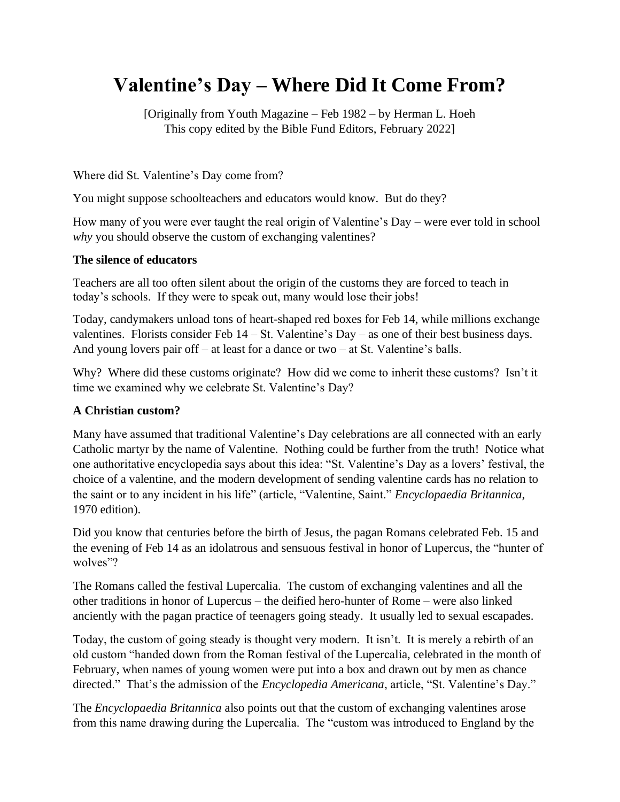# **Valentine's Day – Where Did It Come From?**

[Originally from Youth Magazine – Feb 1982 – by Herman L. Hoeh This copy edited by the Bible Fund Editors, February 2022]

Where did St. Valentine's Day come from?

You might suppose schoolteachers and educators would know. But do they?

How many of you were ever taught the real origin of Valentine's Day – were ever told in school *why* you should observe the custom of exchanging valentines?

### **The silence of educators**

Teachers are all too often silent about the origin of the customs they are forced to teach in today's schools. If they were to speak out, many would lose their jobs!

Today, candymakers unload tons of heart-shaped red boxes for Feb 14, while millions exchange valentines. Florists consider Feb  $14 - St.$  Valentine's Day – as one of their best business days. And young lovers pair off – at least for a dance or two – at St. Valentine's balls.

Why? Where did these customs originate? How did we come to inherit these customs? Isn't it time we examined why we celebrate St. Valentine's Day?

#### **A Christian custom?**

Many have assumed that traditional Valentine's Day celebrations are all connected with an early Catholic martyr by the name of Valentine. Nothing could be further from the truth! Notice what one authoritative encyclopedia says about this idea: "St. Valentine's Day as a lovers' festival, the choice of a valentine, and the modern development of sending valentine cards has no relation to the saint or to any incident in his life" (article, "Valentine, Saint." *Encyclopaedia Britannica*, 1970 edition).

Did you know that centuries before the birth of Jesus, the pagan Romans celebrated Feb. 15 and the evening of Feb 14 as an idolatrous and sensuous festival in honor of Lupercus, the "hunter of wolves"?

The Romans called the festival Lupercalia. The custom of exchanging valentines and all the other traditions in honor of Lupercus – the deified hero-hunter of Rome – were also linked anciently with the pagan practice of teenagers going steady. It usually led to sexual escapades.

Today, the custom of going steady is thought very modern. It isn't. It is merely a rebirth of an old custom "handed down from the Roman festival of the Lupercalia, celebrated in the month of February, when names of young women were put into a box and drawn out by men as chance directed." That's the admission of the *Encyclopedia Americana*, article, "St. Valentine's Day."

The *Encyclopaedia Britannica* also points out that the custom of exchanging valentines arose from this name drawing during the Lupercalia. The "custom was introduced to England by the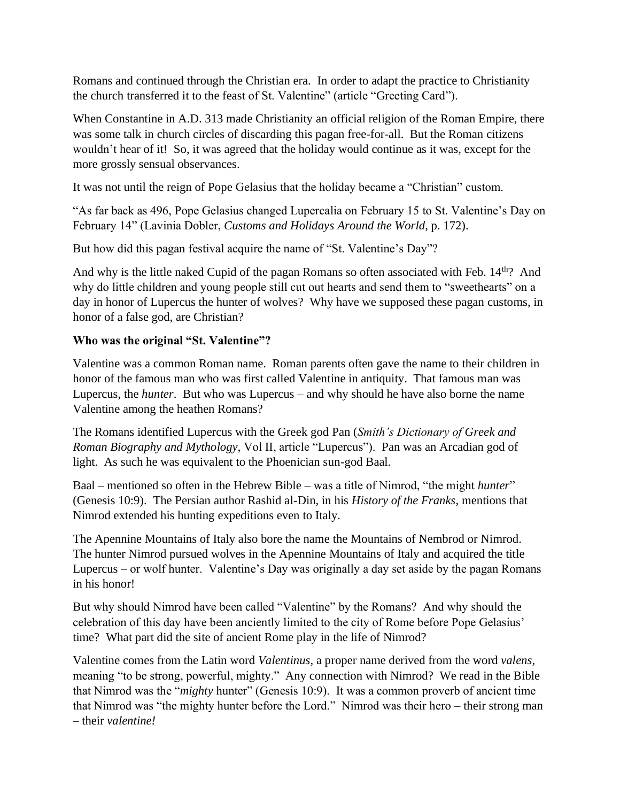Romans and continued through the Christian era. In order to adapt the practice to Christianity the church transferred it to the feast of St. Valentine" (article "Greeting Card").

When Constantine in A.D. 313 made Christianity an official religion of the Roman Empire, there was some talk in church circles of discarding this pagan free-for-all. But the Roman citizens wouldn't hear of it! So, it was agreed that the holiday would continue as it was, except for the more grossly sensual observances.

It was not until the reign of Pope Gelasius that the holiday became a "Christian" custom.

"As far back as 496, Pope Gelasius changed Lupercalia on February 15 to St. Valentine's Day on February 14" (Lavinia Dobler, *Customs and Holidays Around the World*, p. 172).

But how did this pagan festival acquire the name of "St. Valentine's Day"?

And why is the little naked Cupid of the pagan Romans so often associated with Feb. 14<sup>th</sup>? And why do little children and young people still cut out hearts and send them to "sweethearts" on a day in honor of Lupercus the hunter of wolves? Why have we supposed these pagan customs, in honor of a false god, are Christian?

### **Who was the original "St. Valentine"?**

Valentine was a common Roman name. Roman parents often gave the name to their children in honor of the famous man who was first called Valentine in antiquity. That famous man was Lupercus, the *hunter*. But who was Lupercus – and why should he have also borne the name Valentine among the heathen Romans?

The Romans identified Lupercus with the Greek god Pan (*Smith's Dictionary of Greek and Roman Biography and Mythology*, Vol II, article "Lupercus"). Pan was an Arcadian god of light. As such he was equivalent to the Phoenician sun-god Baal.

Baal – mentioned so often in the Hebrew Bible – was a title of Nimrod, "the might *hunter*" (Genesis 10:9). The Persian author Rashid al-Din, in his *History of the Franks*, mentions that Nimrod extended his hunting expeditions even to Italy.

The Apennine Mountains of Italy also bore the name the Mountains of Nembrod or Nimrod. The hunter Nimrod pursued wolves in the Apennine Mountains of Italy and acquired the title Lupercus – or wolf hunter. Valentine's Day was originally a day set aside by the pagan Romans in his honor!

But why should Nimrod have been called "Valentine" by the Romans? And why should the celebration of this day have been anciently limited to the city of Rome before Pope Gelasius' time? What part did the site of ancient Rome play in the life of Nimrod?

Valentine comes from the Latin word *Valentinus*, a proper name derived from the word *valens*, meaning "to be strong, powerful, mighty." Any connection with Nimrod? We read in the Bible that Nimrod was the "*mighty* hunter" (Genesis 10:9). It was a common proverb of ancient time that Nimrod was "the mighty hunter before the Lord." Nimrod was their hero – their strong man – their *valentine!*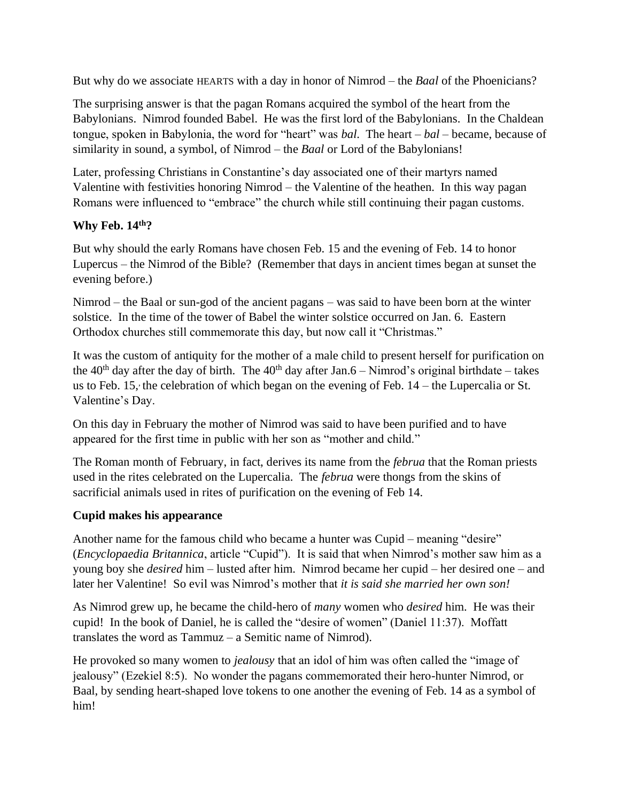But why do we associate HEARTS with a day in honor of Nimrod – the *Baal* of the Phoenicians?

The surprising answer is that the pagan Romans acquired the symbol of the heart from the Babylonians. Nimrod founded Babel. He was the first lord of the Babylonians. In the Chaldean tongue, spoken in Babylonia, the word for "heart" was *bal*. The heart – *bal* – became, because of similarity in sound, a symbol, of Nimrod – the *Baal* or Lord of the Babylonians!

Later, professing Christians in Constantine's day associated one of their martyrs named Valentine with festivities honoring Nimrod – the Valentine of the heathen. In this way pagan Romans were influenced to "embrace" the church while still continuing their pagan customs.

### **Why Feb. 14th?**

But why should the early Romans have chosen Feb. 15 and the evening of Feb. 14 to honor Lupercus – the Nimrod of the Bible? (Remember that days in ancient times began at sunset the evening before.)

Nimrod – the Baal or sun-god of the ancient pagans – was said to have been born at the winter solstice. In the time of the tower of Babel the winter solstice occurred on Jan. 6. Eastern Orthodox churches still commemorate this day, but now call it "Christmas."

It was the custom of antiquity for the mother of a male child to present herself for purification on the 40<sup>th</sup> day after the day of birth. The 40<sup>th</sup> day after Jan.6 – Nimrod's original birthdate – takes us to Feb. 15, the celebration of which began on the evening of Feb. 14 – the Lupercalia or St. Valentine's Day.

On this day in February the mother of Nimrod was said to have been purified and to have appeared for the first time in public with her son as "mother and child."

The Roman month of February, in fact, derives its name from the *februa* that the Roman priests used in the rites celebrated on the Lupercalia. The *februa* were thongs from the skins of sacrificial animals used in rites of purification on the evening of Feb 14.

## **Cupid makes his appearance**

Another name for the famous child who became a hunter was Cupid – meaning "desire" (*Encyclopaedia Britannica*, article "Cupid"). It is said that when Nimrod's mother saw him as a young boy she *desired* him – lusted after him. Nimrod became her cupid – her desired one – and later her Valentine! So evil was Nimrod's mother that *it is said she married her own son!*

As Nimrod grew up, he became the child-hero of *many* women who *desired* him. He was their cupid! In the book of Daniel, he is called the "desire of women" (Daniel 11:37). Moffatt translates the word as Tammuz – a Semitic name of Nimrod).

He provoked so many women to *jealousy* that an idol of him was often called the "image of jealousy" (Ezekiel 8:5). No wonder the pagans commemorated their hero-hunter Nimrod, or Baal, by sending heart-shaped love tokens to one another the evening of Feb. 14 as a symbol of him!